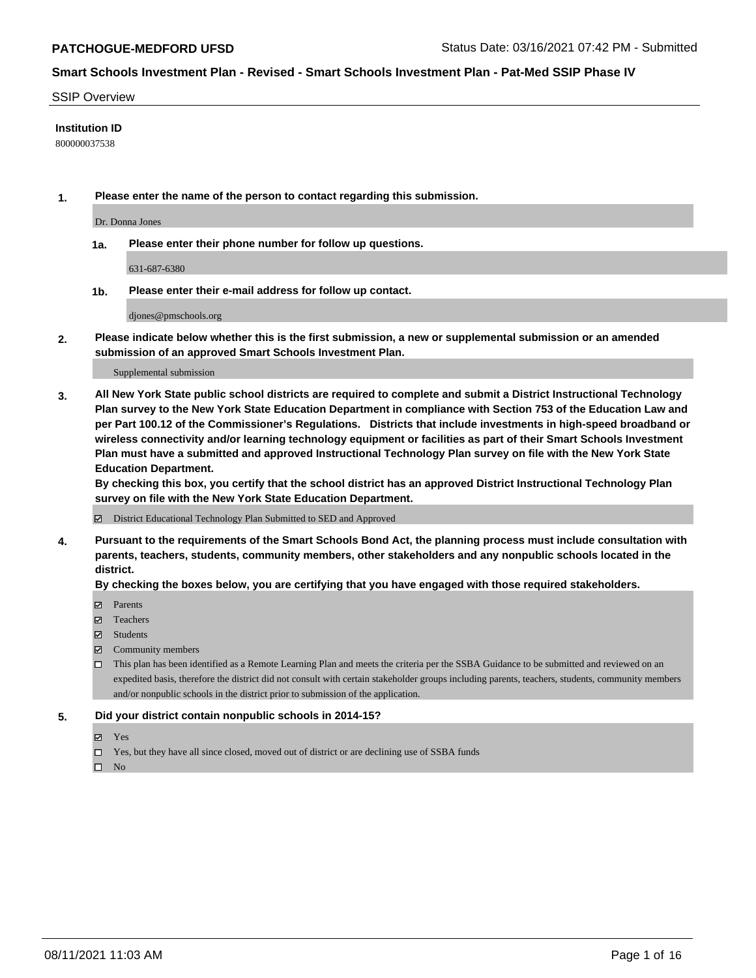## SSIP Overview

## **Institution ID**

800000037538

**1. Please enter the name of the person to contact regarding this submission.**

Dr. Donna Jones

**1a. Please enter their phone number for follow up questions.**

631-687-6380

**1b. Please enter their e-mail address for follow up contact.**

djones@pmschools.org

**2. Please indicate below whether this is the first submission, a new or supplemental submission or an amended submission of an approved Smart Schools Investment Plan.**

### Supplemental submission

**3. All New York State public school districts are required to complete and submit a District Instructional Technology Plan survey to the New York State Education Department in compliance with Section 753 of the Education Law and per Part 100.12 of the Commissioner's Regulations. Districts that include investments in high-speed broadband or wireless connectivity and/or learning technology equipment or facilities as part of their Smart Schools Investment Plan must have a submitted and approved Instructional Technology Plan survey on file with the New York State Education Department.** 

**By checking this box, you certify that the school district has an approved District Instructional Technology Plan survey on file with the New York State Education Department.**

District Educational Technology Plan Submitted to SED and Approved

**4. Pursuant to the requirements of the Smart Schools Bond Act, the planning process must include consultation with parents, teachers, students, community members, other stakeholders and any nonpublic schools located in the district.** 

### **By checking the boxes below, you are certifying that you have engaged with those required stakeholders.**

- **Parents**
- Teachers
- Students
- $\boxtimes$  Community members
- This plan has been identified as a Remote Learning Plan and meets the criteria per the SSBA Guidance to be submitted and reviewed on an expedited basis, therefore the district did not consult with certain stakeholder groups including parents, teachers, students, community members and/or nonpublic schools in the district prior to submission of the application.
- **5. Did your district contain nonpublic schools in 2014-15?**
	- Yes
	- □ Yes, but they have all since closed, moved out of district or are declining use of SSBA funds

 $\Box$  No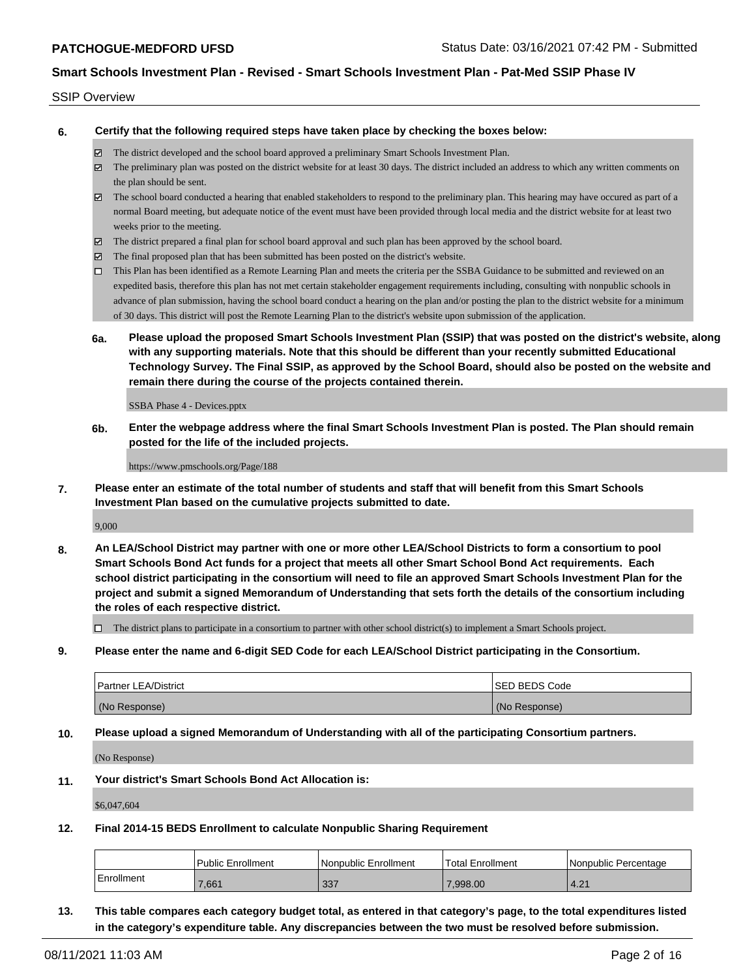## SSIP Overview

**6. Certify that the following required steps have taken place by checking the boxes below:**

- The district developed and the school board approved a preliminary Smart Schools Investment Plan.
- $\boxtimes$  The preliminary plan was posted on the district website for at least 30 days. The district included an address to which any written comments on the plan should be sent.
- The school board conducted a hearing that enabled stakeholders to respond to the preliminary plan. This hearing may have occured as part of a normal Board meeting, but adequate notice of the event must have been provided through local media and the district website for at least two weeks prior to the meeting.
- The district prepared a final plan for school board approval and such plan has been approved by the school board.
- $\boxtimes$  The final proposed plan that has been submitted has been posted on the district's website.
- This Plan has been identified as a Remote Learning Plan and meets the criteria per the SSBA Guidance to be submitted and reviewed on an expedited basis, therefore this plan has not met certain stakeholder engagement requirements including, consulting with nonpublic schools in advance of plan submission, having the school board conduct a hearing on the plan and/or posting the plan to the district website for a minimum of 30 days. This district will post the Remote Learning Plan to the district's website upon submission of the application.
- **6a. Please upload the proposed Smart Schools Investment Plan (SSIP) that was posted on the district's website, along with any supporting materials. Note that this should be different than your recently submitted Educational Technology Survey. The Final SSIP, as approved by the School Board, should also be posted on the website and remain there during the course of the projects contained therein.**

SSBA Phase 4 - Devices.pptx

**6b. Enter the webpage address where the final Smart Schools Investment Plan is posted. The Plan should remain posted for the life of the included projects.**

https://www.pmschools.org/Page/188

**7. Please enter an estimate of the total number of students and staff that will benefit from this Smart Schools Investment Plan based on the cumulative projects submitted to date.**

9,000

**8. An LEA/School District may partner with one or more other LEA/School Districts to form a consortium to pool Smart Schools Bond Act funds for a project that meets all other Smart School Bond Act requirements. Each school district participating in the consortium will need to file an approved Smart Schools Investment Plan for the project and submit a signed Memorandum of Understanding that sets forth the details of the consortium including the roles of each respective district.**

 $\Box$  The district plans to participate in a consortium to partner with other school district(s) to implement a Smart Schools project.

**9. Please enter the name and 6-digit SED Code for each LEA/School District participating in the Consortium.**

| <b>Partner LEA/District</b> | <b>ISED BEDS Code</b> |
|-----------------------------|-----------------------|
| (No Response)               | (No Response)         |

**10. Please upload a signed Memorandum of Understanding with all of the participating Consortium partners.**

(No Response)

**11. Your district's Smart Schools Bond Act Allocation is:**

\$6,047,604

**12. Final 2014-15 BEDS Enrollment to calculate Nonpublic Sharing Requirement**

|            | <b>Public Enrollment</b> | l Nonpublic Enrollment | Total Enrollment | l Nonpublic Percentage |
|------------|--------------------------|------------------------|------------------|------------------------|
| Enrollment | .661                     | 337                    | 0.998.00         | $\Omega$<br>4.2.       |

**13. This table compares each category budget total, as entered in that category's page, to the total expenditures listed in the category's expenditure table. Any discrepancies between the two must be resolved before submission.**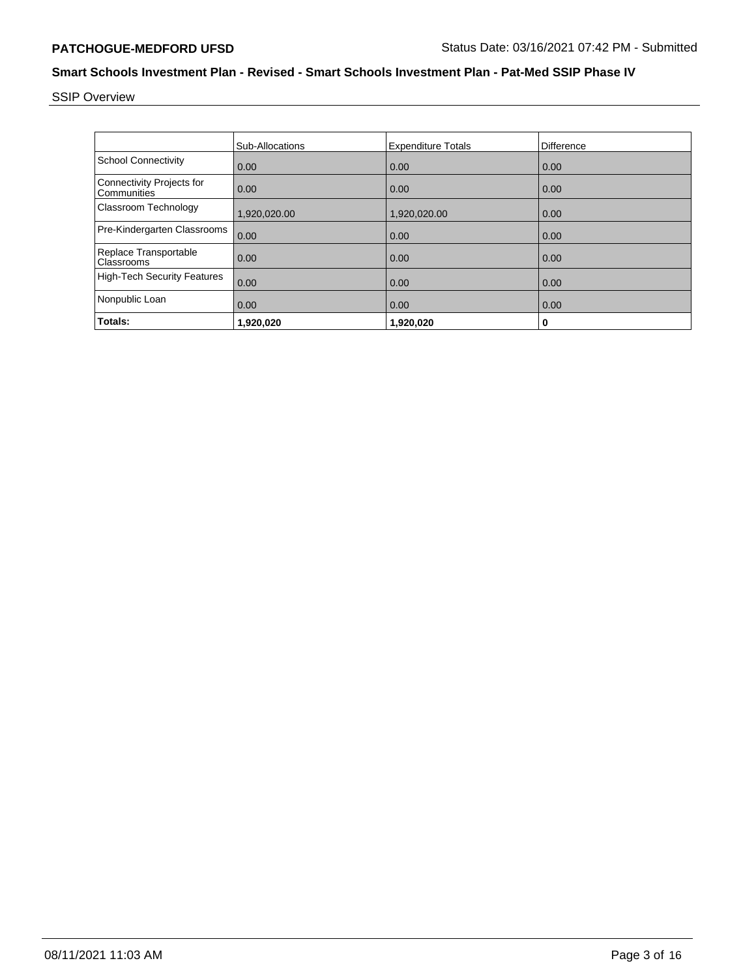# SSIP Overview

|                                                 | <b>Sub-Allocations</b> | <b>Expenditure Totals</b> | Difference |
|-------------------------------------------------|------------------------|---------------------------|------------|
| <b>School Connectivity</b>                      | 0.00                   | 0.00                      | 0.00       |
| <b>Connectivity Projects for</b><br>Communities | 0.00                   | 0.00                      | 0.00       |
| Classroom Technology                            | 1,920,020.00           | 1,920,020.00              | 0.00       |
| Pre-Kindergarten Classrooms                     | 0.00                   | 0.00                      | 0.00       |
| Replace Transportable<br>Classrooms             | 0.00                   | 0.00                      | 0.00       |
| <b>High-Tech Security Features</b>              | 0.00                   | 0.00                      | 0.00       |
| Nonpublic Loan                                  | 0.00                   | 0.00                      | 0.00       |
| Totals:                                         | 1,920,020              | 1,920,020                 | 0          |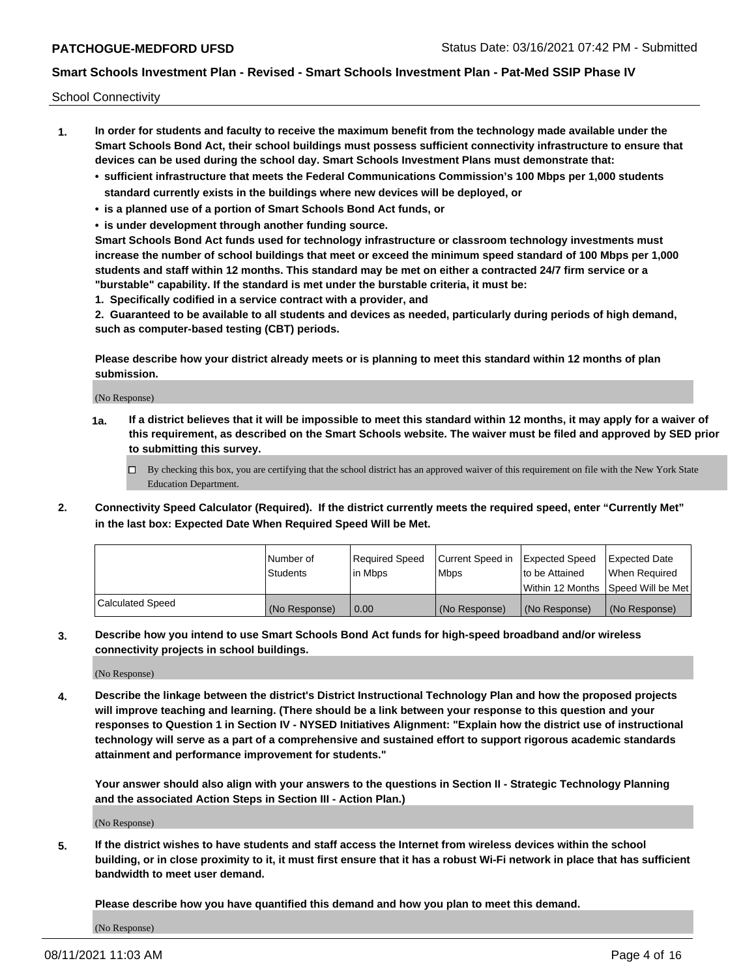School Connectivity

- **1. In order for students and faculty to receive the maximum benefit from the technology made available under the Smart Schools Bond Act, their school buildings must possess sufficient connectivity infrastructure to ensure that devices can be used during the school day. Smart Schools Investment Plans must demonstrate that:**
	- **• sufficient infrastructure that meets the Federal Communications Commission's 100 Mbps per 1,000 students standard currently exists in the buildings where new devices will be deployed, or**
	- **• is a planned use of a portion of Smart Schools Bond Act funds, or**
	- **• is under development through another funding source.**

**Smart Schools Bond Act funds used for technology infrastructure or classroom technology investments must increase the number of school buildings that meet or exceed the minimum speed standard of 100 Mbps per 1,000 students and staff within 12 months. This standard may be met on either a contracted 24/7 firm service or a "burstable" capability. If the standard is met under the burstable criteria, it must be:**

**1. Specifically codified in a service contract with a provider, and**

**2. Guaranteed to be available to all students and devices as needed, particularly during periods of high demand, such as computer-based testing (CBT) periods.**

**Please describe how your district already meets or is planning to meet this standard within 12 months of plan submission.**

(No Response)

**1a. If a district believes that it will be impossible to meet this standard within 12 months, it may apply for a waiver of this requirement, as described on the Smart Schools website. The waiver must be filed and approved by SED prior to submitting this survey.**

 $\Box$  By checking this box, you are certifying that the school district has an approved waiver of this requirement on file with the New York State Education Department.

**2. Connectivity Speed Calculator (Required). If the district currently meets the required speed, enter "Currently Met" in the last box: Expected Date When Required Speed Will be Met.**

|                  | l Number of     | Required Speed | Current Speed in | Expected Speed | Expected Date                           |
|------------------|-----------------|----------------|------------------|----------------|-----------------------------------------|
|                  | <b>Students</b> | In Mbps        | l Mbps           | to be Attained | When Required                           |
|                  |                 |                |                  |                | l Within 12 Months ISpeed Will be Met l |
| Calculated Speed | (No Response)   | 0.00           | (No Response)    | (No Response)  | (No Response)                           |

**3. Describe how you intend to use Smart Schools Bond Act funds for high-speed broadband and/or wireless connectivity projects in school buildings.**

(No Response)

**4. Describe the linkage between the district's District Instructional Technology Plan and how the proposed projects will improve teaching and learning. (There should be a link between your response to this question and your responses to Question 1 in Section IV - NYSED Initiatives Alignment: "Explain how the district use of instructional technology will serve as a part of a comprehensive and sustained effort to support rigorous academic standards attainment and performance improvement for students."** 

**Your answer should also align with your answers to the questions in Section II - Strategic Technology Planning and the associated Action Steps in Section III - Action Plan.)**

(No Response)

**5. If the district wishes to have students and staff access the Internet from wireless devices within the school building, or in close proximity to it, it must first ensure that it has a robust Wi-Fi network in place that has sufficient bandwidth to meet user demand.**

**Please describe how you have quantified this demand and how you plan to meet this demand.**

(No Response)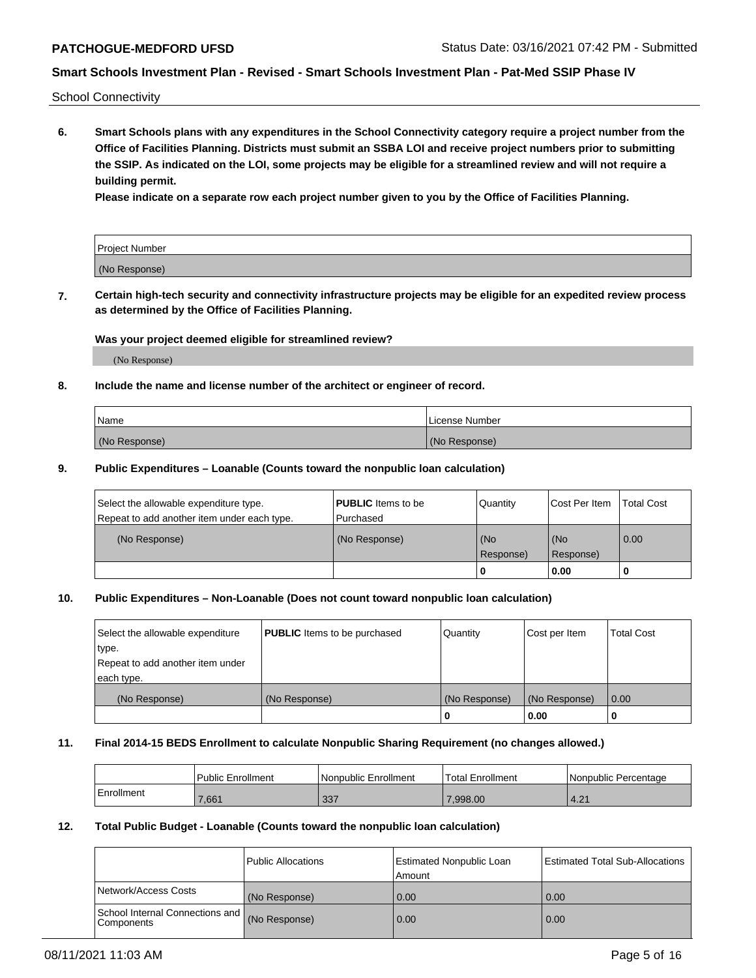School Connectivity

**6. Smart Schools plans with any expenditures in the School Connectivity category require a project number from the Office of Facilities Planning. Districts must submit an SSBA LOI and receive project numbers prior to submitting the SSIP. As indicated on the LOI, some projects may be eligible for a streamlined review and will not require a building permit.**

**Please indicate on a separate row each project number given to you by the Office of Facilities Planning.**

| Project Number |  |
|----------------|--|
| (No Response)  |  |

**7. Certain high-tech security and connectivity infrastructure projects may be eligible for an expedited review process as determined by the Office of Facilities Planning.**

## **Was your project deemed eligible for streamlined review?**

(No Response)

## **8. Include the name and license number of the architect or engineer of record.**

| Name          | License Number |
|---------------|----------------|
| (No Response) | (No Response)  |

## **9. Public Expenditures – Loanable (Counts toward the nonpublic loan calculation)**

| Select the allowable expenditure type.<br>Repeat to add another item under each type. | <b>PUBLIC</b> Items to be<br>l Purchased | Quantity           | Cost Per Item    | <b>Total Cost</b> |
|---------------------------------------------------------------------------------------|------------------------------------------|--------------------|------------------|-------------------|
| (No Response)                                                                         | (No Response)                            | l (No<br>Response) | (No<br>Response) | $\overline{0.00}$ |
|                                                                                       |                                          | O                  | 0.00             |                   |

## **10. Public Expenditures – Non-Loanable (Does not count toward nonpublic loan calculation)**

| Select the allowable expenditure<br>type.<br>Repeat to add another item under<br>each type. | <b>PUBLIC</b> Items to be purchased | Quantity      | Cost per Item | <b>Total Cost</b> |
|---------------------------------------------------------------------------------------------|-------------------------------------|---------------|---------------|-------------------|
| (No Response)                                                                               | (No Response)                       | (No Response) | (No Response) | 0.00              |
|                                                                                             |                                     |               | 0.00          |                   |

### **11. Final 2014-15 BEDS Enrollment to calculate Nonpublic Sharing Requirement (no changes allowed.)**

|            | Public Enrollment | Nonpublic Enrollment | 'Total Enrollment | l Nonpublic Percentage |
|------------|-------------------|----------------------|-------------------|------------------------|
| Enrollment | 7,661             | ົດດສ<br>، دد         | 0.998.00          | $\Omega$<br>4.2.       |

## **12. Total Public Budget - Loanable (Counts toward the nonpublic loan calculation)**

|                                                      | Public Allocations | <b>Estimated Nonpublic Loan</b><br>Amount | Estimated Total Sub-Allocations |
|------------------------------------------------------|--------------------|-------------------------------------------|---------------------------------|
| Network/Access Costs                                 | (No Response)      | 0.00                                      | 0.00                            |
| School Internal Connections and<br><b>Components</b> | (No Response)      | 0.00                                      | 0.00                            |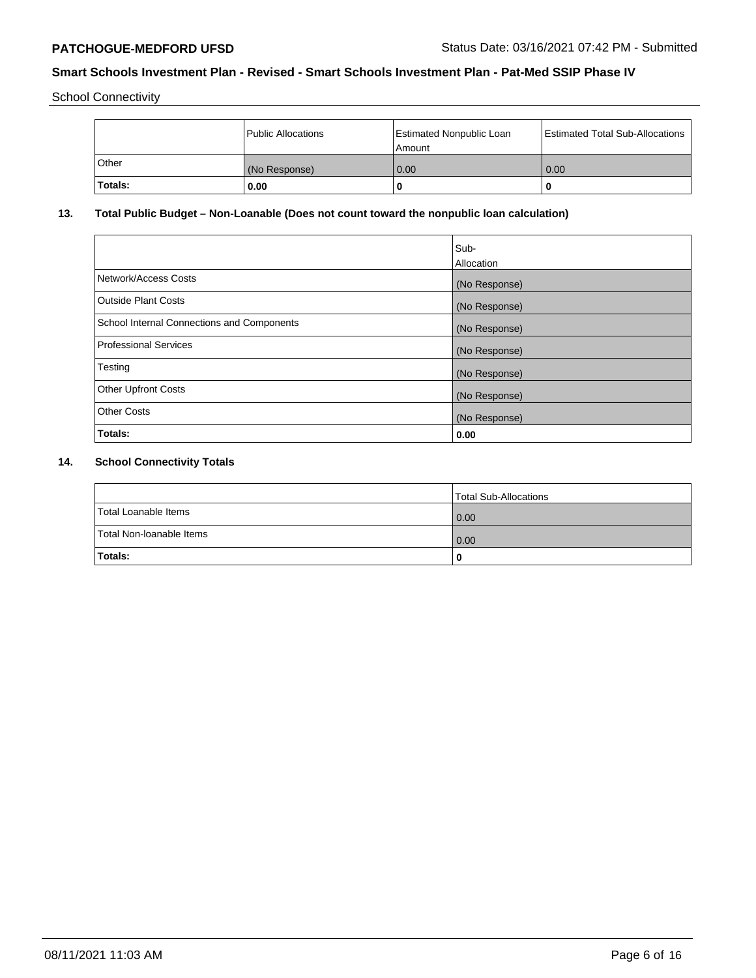School Connectivity

|                | Public Allocations | <b>Estimated Nonpublic Loan</b><br>l Amount | <b>Estimated Total Sub-Allocations</b> |
|----------------|--------------------|---------------------------------------------|----------------------------------------|
| l Other        | (No Response)      | 0.00                                        | 0.00                                   |
| <b>Totals:</b> | 0.00               | 0                                           |                                        |

# **13. Total Public Budget – Non-Loanable (Does not count toward the nonpublic loan calculation)**

|                                                   | Sub-<br>Allocation |
|---------------------------------------------------|--------------------|
|                                                   |                    |
| Network/Access Costs                              | (No Response)      |
| <b>Outside Plant Costs</b>                        | (No Response)      |
| <b>School Internal Connections and Components</b> | (No Response)      |
| Professional Services                             | (No Response)      |
| Testing                                           | (No Response)      |
| <b>Other Upfront Costs</b>                        | (No Response)      |
| <b>Other Costs</b>                                | (No Response)      |
| <b>Totals:</b>                                    | 0.00               |

# **14. School Connectivity Totals**

|                          | Total Sub-Allocations |
|--------------------------|-----------------------|
| Total Loanable Items     | 0.00                  |
| Total Non-Ioanable Items | 0.00                  |
| Totals:                  | 0                     |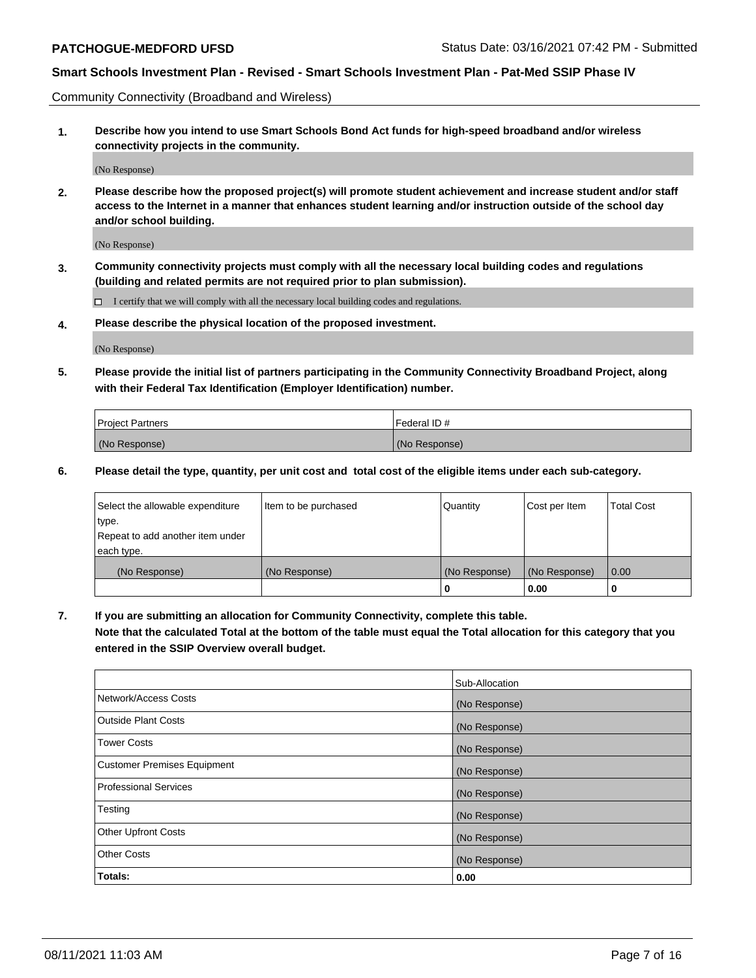Community Connectivity (Broadband and Wireless)

**1. Describe how you intend to use Smart Schools Bond Act funds for high-speed broadband and/or wireless connectivity projects in the community.**

(No Response)

**2. Please describe how the proposed project(s) will promote student achievement and increase student and/or staff access to the Internet in a manner that enhances student learning and/or instruction outside of the school day and/or school building.**

(No Response)

**3. Community connectivity projects must comply with all the necessary local building codes and regulations (building and related permits are not required prior to plan submission).**

 $\Box$  I certify that we will comply with all the necessary local building codes and regulations.

**4. Please describe the physical location of the proposed investment.**

(No Response)

**5. Please provide the initial list of partners participating in the Community Connectivity Broadband Project, along with their Federal Tax Identification (Employer Identification) number.**

| <b>Project Partners</b> | l Federal ID # |
|-------------------------|----------------|
| (No Response)           | (No Response)  |

**6. Please detail the type, quantity, per unit cost and total cost of the eligible items under each sub-category.**

| Select the allowable expenditure | Item to be purchased | Quantity      | Cost per Item | <b>Total Cost</b> |
|----------------------------------|----------------------|---------------|---------------|-------------------|
| type.                            |                      |               |               |                   |
| Repeat to add another item under |                      |               |               |                   |
| each type.                       |                      |               |               |                   |
| (No Response)                    | (No Response)        | (No Response) | (No Response) | 0.00              |
|                                  |                      | o             | 0.00          |                   |

**7. If you are submitting an allocation for Community Connectivity, complete this table.**

**Note that the calculated Total at the bottom of the table must equal the Total allocation for this category that you entered in the SSIP Overview overall budget.**

|                                    | Sub-Allocation |
|------------------------------------|----------------|
| Network/Access Costs               | (No Response)  |
| Outside Plant Costs                | (No Response)  |
| <b>Tower Costs</b>                 | (No Response)  |
| <b>Customer Premises Equipment</b> | (No Response)  |
| <b>Professional Services</b>       | (No Response)  |
| Testing                            | (No Response)  |
| <b>Other Upfront Costs</b>         | (No Response)  |
| <b>Other Costs</b>                 | (No Response)  |
| Totals:                            | 0.00           |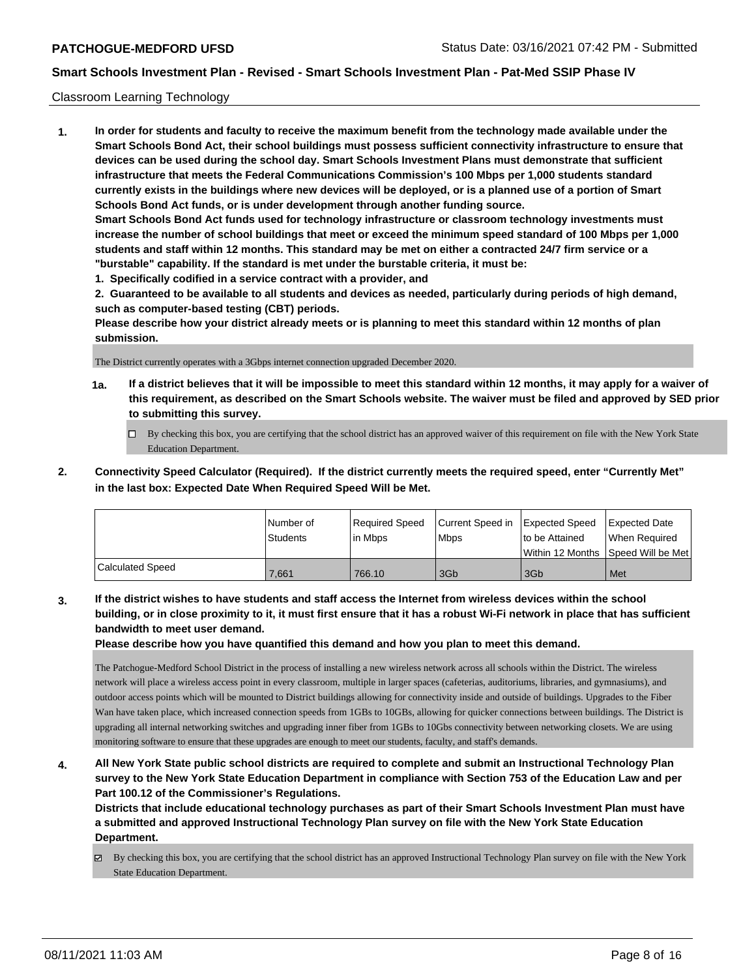## Classroom Learning Technology

**1. In order for students and faculty to receive the maximum benefit from the technology made available under the Smart Schools Bond Act, their school buildings must possess sufficient connectivity infrastructure to ensure that devices can be used during the school day. Smart Schools Investment Plans must demonstrate that sufficient infrastructure that meets the Federal Communications Commission's 100 Mbps per 1,000 students standard currently exists in the buildings where new devices will be deployed, or is a planned use of a portion of Smart Schools Bond Act funds, or is under development through another funding source. Smart Schools Bond Act funds used for technology infrastructure or classroom technology investments must increase the number of school buildings that meet or exceed the minimum speed standard of 100 Mbps per 1,000 students and staff within 12 months. This standard may be met on either a contracted 24/7 firm service or a "burstable" capability. If the standard is met under the burstable criteria, it must be:**

**1. Specifically codified in a service contract with a provider, and**

**2. Guaranteed to be available to all students and devices as needed, particularly during periods of high demand, such as computer-based testing (CBT) periods.**

**Please describe how your district already meets or is planning to meet this standard within 12 months of plan submission.**

The District currently operates with a 3Gbps internet connection upgraded December 2020.

- **1a. If a district believes that it will be impossible to meet this standard within 12 months, it may apply for a waiver of this requirement, as described on the Smart Schools website. The waiver must be filed and approved by SED prior to submitting this survey.**
	- By checking this box, you are certifying that the school district has an approved waiver of this requirement on file with the New York State Education Department.
- **2. Connectivity Speed Calculator (Required). If the district currently meets the required speed, enter "Currently Met" in the last box: Expected Date When Required Speed Will be Met.**

|                  | l Number of     | Required Speed | Current Speed in Expected Speed |                | Expected Date                           |
|------------------|-----------------|----------------|---------------------------------|----------------|-----------------------------------------|
|                  | <b>Students</b> | In Mbps        | <b>Mbps</b>                     | to be Attained | When Required                           |
|                  |                 |                |                                 |                | l Within 12 Months ISpeed Will be Met l |
| Calculated Speed | 7.661           | 766.10         | 3Gb                             | 3Gb            | Met                                     |

**3. If the district wishes to have students and staff access the Internet from wireless devices within the school building, or in close proximity to it, it must first ensure that it has a robust Wi-Fi network in place that has sufficient bandwidth to meet user demand.**

**Please describe how you have quantified this demand and how you plan to meet this demand.**

The Patchogue-Medford School District in the process of installing a new wireless network across all schools within the District. The wireless network will place a wireless access point in every classroom, multiple in larger spaces (cafeterias, auditoriums, libraries, and gymnasiums), and outdoor access points which will be mounted to District buildings allowing for connectivity inside and outside of buildings. Upgrades to the Fiber Wan have taken place, which increased connection speeds from 1GBs to 10GBs, allowing for quicker connections between buildings. The District is upgrading all internal networking switches and upgrading inner fiber from 1GBs to 10Gbs connectivity between networking closets. We are using monitoring software to ensure that these upgrades are enough to meet our students, faculty, and staff's demands.

**4. All New York State public school districts are required to complete and submit an Instructional Technology Plan survey to the New York State Education Department in compliance with Section 753 of the Education Law and per Part 100.12 of the Commissioner's Regulations.**

**Districts that include educational technology purchases as part of their Smart Schools Investment Plan must have a submitted and approved Instructional Technology Plan survey on file with the New York State Education Department.**

 $\boxtimes$  By checking this box, you are certifying that the school district has an approved Instructional Technology Plan survey on file with the New York State Education Department.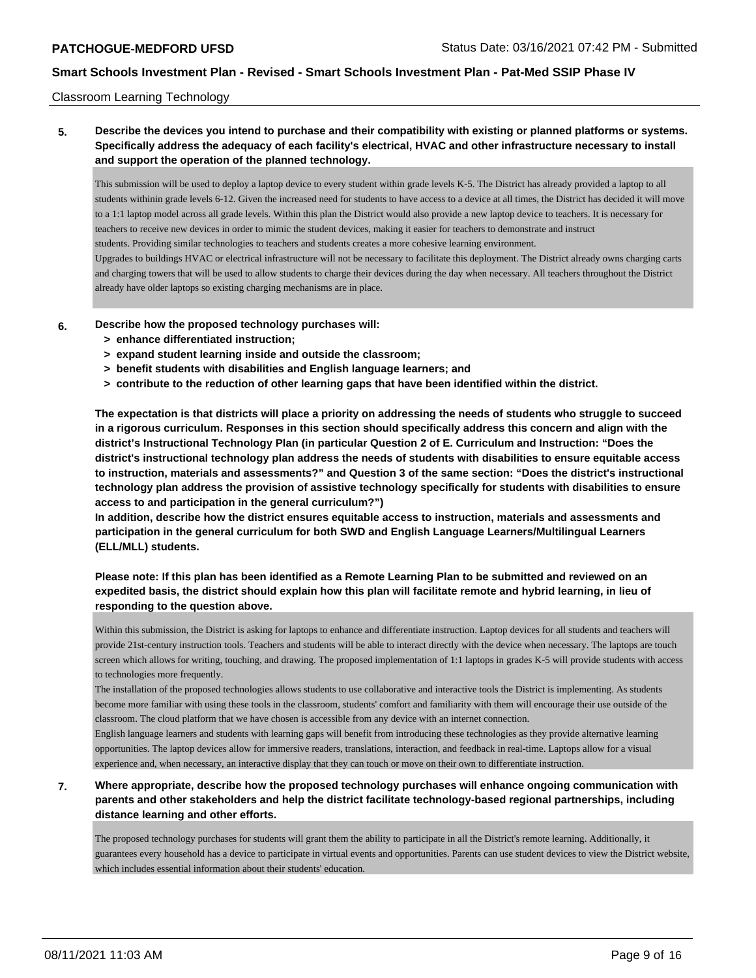## Classroom Learning Technology

# **5. Describe the devices you intend to purchase and their compatibility with existing or planned platforms or systems. Specifically address the adequacy of each facility's electrical, HVAC and other infrastructure necessary to install and support the operation of the planned technology.**

This submission will be used to deploy a laptop device to every student within grade levels K-5. The District has already provided a laptop to all students withinin grade levels 6-12. Given the increased need for students to have access to a device at all times, the District has decided it will move to a 1:1 laptop model across all grade levels. Within this plan the District would also provide a new laptop device to teachers. It is necessary for teachers to receive new devices in order to mimic the student devices, making it easier for teachers to demonstrate and instruct students. Providing similar technologies to teachers and students creates a more cohesive learning environment. Upgrades to buildings HVAC or electrical infrastructure will not be necessary to facilitate this deployment. The District already owns charging carts

and charging towers that will be used to allow students to charge their devices during the day when necessary. All teachers throughout the District already have older laptops so existing charging mechanisms are in place.

**6. Describe how the proposed technology purchases will:**

- **> enhance differentiated instruction;**
- **> expand student learning inside and outside the classroom;**
- **> benefit students with disabilities and English language learners; and**
- **> contribute to the reduction of other learning gaps that have been identified within the district.**

**The expectation is that districts will place a priority on addressing the needs of students who struggle to succeed in a rigorous curriculum. Responses in this section should specifically address this concern and align with the district's Instructional Technology Plan (in particular Question 2 of E. Curriculum and Instruction: "Does the district's instructional technology plan address the needs of students with disabilities to ensure equitable access to instruction, materials and assessments?" and Question 3 of the same section: "Does the district's instructional technology plan address the provision of assistive technology specifically for students with disabilities to ensure access to and participation in the general curriculum?")**

**In addition, describe how the district ensures equitable access to instruction, materials and assessments and participation in the general curriculum for both SWD and English Language Learners/Multilingual Learners (ELL/MLL) students.**

# **Please note: If this plan has been identified as a Remote Learning Plan to be submitted and reviewed on an expedited basis, the district should explain how this plan will facilitate remote and hybrid learning, in lieu of responding to the question above.**

Within this submission, the District is asking for laptops to enhance and differentiate instruction. Laptop devices for all students and teachers will provide 21st-century instruction tools. Teachers and students will be able to interact directly with the device when necessary. The laptops are touch screen which allows for writing, touching, and drawing. The proposed implementation of 1:1 laptops in grades K-5 will provide students with access to technologies more frequently.

The installation of the proposed technologies allows students to use collaborative and interactive tools the District is implementing. As students become more familiar with using these tools in the classroom, students' comfort and familiarity with them will encourage their use outside of the classroom. The cloud platform that we have chosen is accessible from any device with an internet connection.

English language learners and students with learning gaps will benefit from introducing these technologies as they provide alternative learning opportunities. The laptop devices allow for immersive readers, translations, interaction, and feedback in real-time. Laptops allow for a visual experience and, when necessary, an interactive display that they can touch or move on their own to differentiate instruction.

# **7. Where appropriate, describe how the proposed technology purchases will enhance ongoing communication with parents and other stakeholders and help the district facilitate technology-based regional partnerships, including distance learning and other efforts.**

The proposed technology purchases for students will grant them the ability to participate in all the District's remote learning. Additionally, it guarantees every household has a device to participate in virtual events and opportunities. Parents can use student devices to view the District website, which includes essential information about their students' education.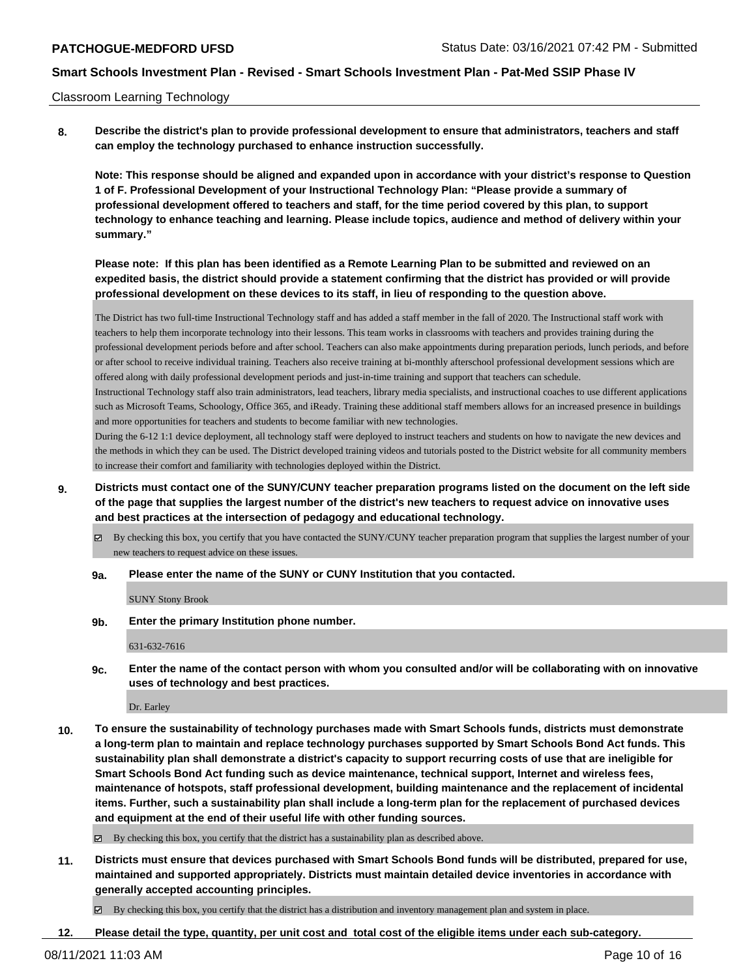## Classroom Learning Technology

**8. Describe the district's plan to provide professional development to ensure that administrators, teachers and staff can employ the technology purchased to enhance instruction successfully.**

**Note: This response should be aligned and expanded upon in accordance with your district's response to Question 1 of F. Professional Development of your Instructional Technology Plan: "Please provide a summary of professional development offered to teachers and staff, for the time period covered by this plan, to support technology to enhance teaching and learning. Please include topics, audience and method of delivery within your summary."**

**Please note: If this plan has been identified as a Remote Learning Plan to be submitted and reviewed on an expedited basis, the district should provide a statement confirming that the district has provided or will provide professional development on these devices to its staff, in lieu of responding to the question above.**

The District has two full-time Instructional Technology staff and has added a staff member in the fall of 2020. The Instructional staff work with teachers to help them incorporate technology into their lessons. This team works in classrooms with teachers and provides training during the professional development periods before and after school. Teachers can also make appointments during preparation periods, lunch periods, and before or after school to receive individual training. Teachers also receive training at bi-monthly afterschool professional development sessions which are offered along with daily professional development periods and just-in-time training and support that teachers can schedule.

Instructional Technology staff also train administrators, lead teachers, library media specialists, and instructional coaches to use different applications such as Microsoft Teams, Schoology, Office 365, and iReady. Training these additional staff members allows for an increased presence in buildings and more opportunities for teachers and students to become familiar with new technologies.

During the 6-12 1:1 device deployment, all technology staff were deployed to instruct teachers and students on how to navigate the new devices and the methods in which they can be used. The District developed training videos and tutorials posted to the District website for all community members to increase their comfort and familiarity with technologies deployed within the District.

- **9. Districts must contact one of the SUNY/CUNY teacher preparation programs listed on the document on the left side of the page that supplies the largest number of the district's new teachers to request advice on innovative uses and best practices at the intersection of pedagogy and educational technology.**
	- By checking this box, you certify that you have contacted the SUNY/CUNY teacher preparation program that supplies the largest number of your new teachers to request advice on these issues.

### **9a. Please enter the name of the SUNY or CUNY Institution that you contacted.**

SUNY Stony Brook

**9b. Enter the primary Institution phone number.**

631-632-7616

**9c. Enter the name of the contact person with whom you consulted and/or will be collaborating with on innovative uses of technology and best practices.**

Dr. Earley

**10. To ensure the sustainability of technology purchases made with Smart Schools funds, districts must demonstrate a long-term plan to maintain and replace technology purchases supported by Smart Schools Bond Act funds. This sustainability plan shall demonstrate a district's capacity to support recurring costs of use that are ineligible for Smart Schools Bond Act funding such as device maintenance, technical support, Internet and wireless fees, maintenance of hotspots, staff professional development, building maintenance and the replacement of incidental items. Further, such a sustainability plan shall include a long-term plan for the replacement of purchased devices and equipment at the end of their useful life with other funding sources.**

By checking this box, you certify that the district has a sustainability plan as described above.

**11. Districts must ensure that devices purchased with Smart Schools Bond funds will be distributed, prepared for use, maintained and supported appropriately. Districts must maintain detailed device inventories in accordance with generally accepted accounting principles.**

By checking this box, you certify that the district has a distribution and inventory management plan and system in place.

**12. Please detail the type, quantity, per unit cost and total cost of the eligible items under each sub-category.**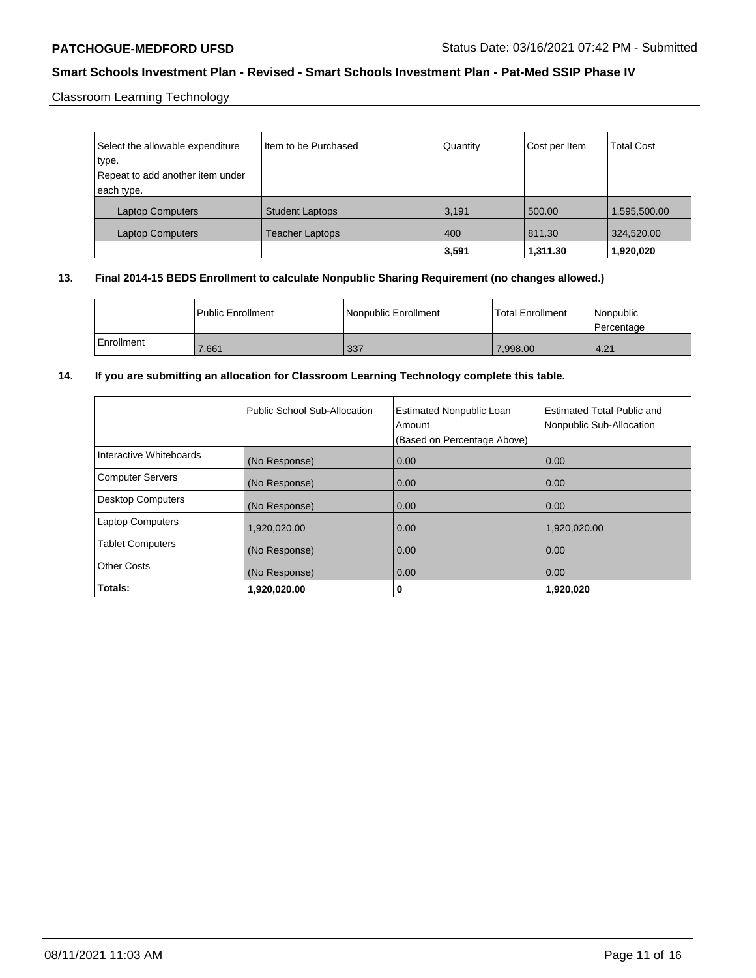Classroom Learning Technology

| Select the allowable expenditure | Item to be Purchased   | Quantity | Cost per Item | <b>Total Cost</b> |
|----------------------------------|------------------------|----------|---------------|-------------------|
| type.                            |                        |          |               |                   |
| Repeat to add another item under |                        |          |               |                   |
| each type.                       |                        |          |               |                   |
| <b>Laptop Computers</b>          | <b>Student Laptops</b> | 3,191    | 500.00        | 1,595,500.00      |
| <b>Laptop Computers</b>          | <b>Teacher Laptops</b> | 400      | 811.30        | 324,520.00        |
|                                  |                        | 3,591    | 1,311.30      | 1,920,020         |

## **13. Final 2014-15 BEDS Enrollment to calculate Nonpublic Sharing Requirement (no changes allowed.)**

|              | <b>I Public Enrollment</b> | Nonpublic Enrollment | Total Enrollment | l Nonpublic<br>Percentage |
|--------------|----------------------------|----------------------|------------------|---------------------------|
| l Enrollment | 7,661                      | 337                  | 7,998.00         | 4.21                      |

## **14. If you are submitting an allocation for Classroom Learning Technology complete this table.**

|                          | Public School Sub-Allocation | <b>Estimated Nonpublic Loan</b><br>Amount<br>(Based on Percentage Above) | Estimated Total Public and<br>Nonpublic Sub-Allocation |
|--------------------------|------------------------------|--------------------------------------------------------------------------|--------------------------------------------------------|
| Interactive Whiteboards  | (No Response)                | 0.00                                                                     | 0.00                                                   |
| <b>Computer Servers</b>  | (No Response)                | 0.00                                                                     | 0.00                                                   |
| <b>Desktop Computers</b> | (No Response)                | 0.00                                                                     | 0.00                                                   |
| <b>Laptop Computers</b>  | 1,920,020.00                 | 0.00                                                                     | 1,920,020.00                                           |
| <b>Tablet Computers</b>  | (No Response)                | 0.00                                                                     | 0.00                                                   |
| <b>Other Costs</b>       | (No Response)                | 0.00                                                                     | 0.00                                                   |
| Totals:                  | 1,920,020.00                 | 0                                                                        | 1,920,020                                              |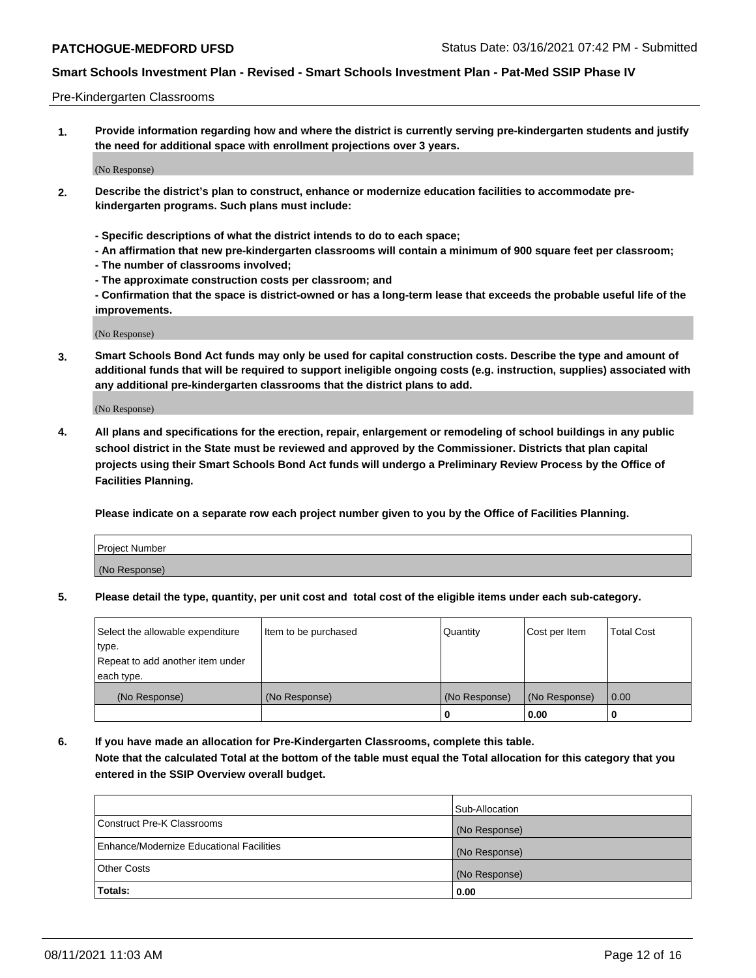## Pre-Kindergarten Classrooms

**1. Provide information regarding how and where the district is currently serving pre-kindergarten students and justify the need for additional space with enrollment projections over 3 years.**

(No Response)

- **2. Describe the district's plan to construct, enhance or modernize education facilities to accommodate prekindergarten programs. Such plans must include:**
	- **Specific descriptions of what the district intends to do to each space;**
	- **An affirmation that new pre-kindergarten classrooms will contain a minimum of 900 square feet per classroom;**
	- **The number of classrooms involved;**
	- **The approximate construction costs per classroom; and**
	- **Confirmation that the space is district-owned or has a long-term lease that exceeds the probable useful life of the improvements.**

(No Response)

**3. Smart Schools Bond Act funds may only be used for capital construction costs. Describe the type and amount of additional funds that will be required to support ineligible ongoing costs (e.g. instruction, supplies) associated with any additional pre-kindergarten classrooms that the district plans to add.**

(No Response)

**4. All plans and specifications for the erection, repair, enlargement or remodeling of school buildings in any public school district in the State must be reviewed and approved by the Commissioner. Districts that plan capital projects using their Smart Schools Bond Act funds will undergo a Preliminary Review Process by the Office of Facilities Planning.**

**Please indicate on a separate row each project number given to you by the Office of Facilities Planning.**

| Project Number |  |
|----------------|--|
| (No Response)  |  |
|                |  |

**5. Please detail the type, quantity, per unit cost and total cost of the eligible items under each sub-category.**

| Select the allowable expenditure | Item to be purchased | Quantity      | Cost per Item | <b>Total Cost</b> |
|----------------------------------|----------------------|---------------|---------------|-------------------|
| type.                            |                      |               |               |                   |
| Repeat to add another item under |                      |               |               |                   |
| each type.                       |                      |               |               |                   |
| (No Response)                    | (No Response)        | (No Response) | (No Response) | 0.00              |
|                                  |                      | υ             | 0.00          |                   |

**6. If you have made an allocation for Pre-Kindergarten Classrooms, complete this table. Note that the calculated Total at the bottom of the table must equal the Total allocation for this category that you entered in the SSIP Overview overall budget.**

|                                          | Sub-Allocation |
|------------------------------------------|----------------|
| Construct Pre-K Classrooms               | (No Response)  |
| Enhance/Modernize Educational Facilities | (No Response)  |
| <b>Other Costs</b>                       | (No Response)  |
| Totals:                                  | 0.00           |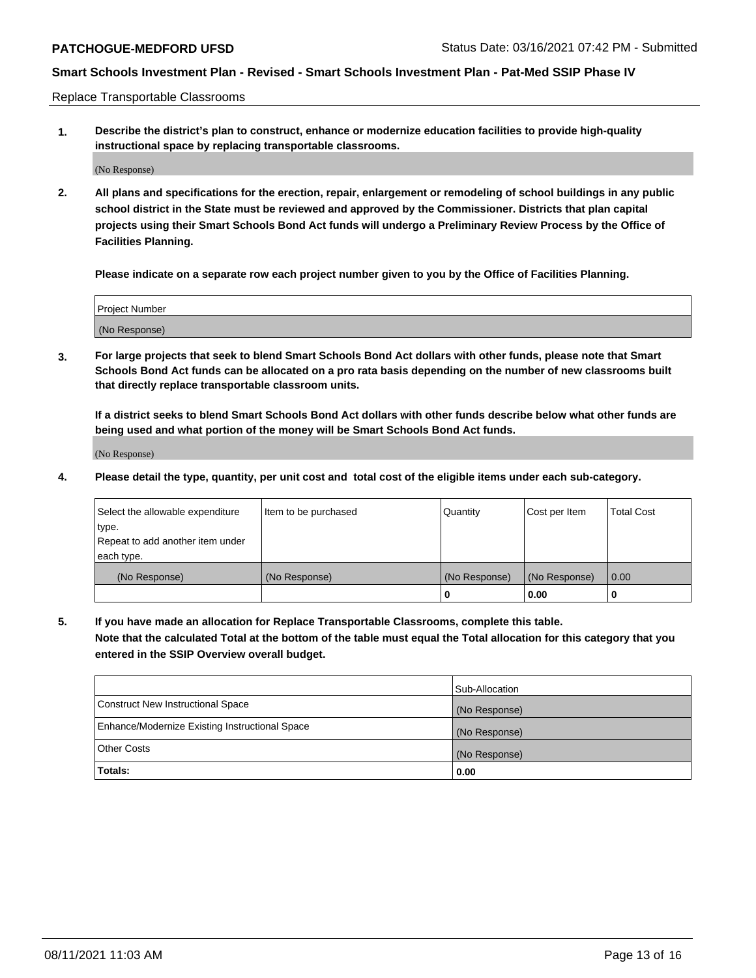Replace Transportable Classrooms

**1. Describe the district's plan to construct, enhance or modernize education facilities to provide high-quality instructional space by replacing transportable classrooms.**

(No Response)

**2. All plans and specifications for the erection, repair, enlargement or remodeling of school buildings in any public school district in the State must be reviewed and approved by the Commissioner. Districts that plan capital projects using their Smart Schools Bond Act funds will undergo a Preliminary Review Process by the Office of Facilities Planning.**

**Please indicate on a separate row each project number given to you by the Office of Facilities Planning.**

| Project Number |  |
|----------------|--|
|                |  |
| (No Response)  |  |

**3. For large projects that seek to blend Smart Schools Bond Act dollars with other funds, please note that Smart Schools Bond Act funds can be allocated on a pro rata basis depending on the number of new classrooms built that directly replace transportable classroom units.**

**If a district seeks to blend Smart Schools Bond Act dollars with other funds describe below what other funds are being used and what portion of the money will be Smart Schools Bond Act funds.**

(No Response)

**4. Please detail the type, quantity, per unit cost and total cost of the eligible items under each sub-category.**

| Select the allowable expenditure | Item to be purchased | Quantity      | Cost per Item | Total Cost |
|----------------------------------|----------------------|---------------|---------------|------------|
| ∣type.                           |                      |               |               |            |
| Repeat to add another item under |                      |               |               |            |
| each type.                       |                      |               |               |            |
| (No Response)                    | (No Response)        | (No Response) | (No Response) | 0.00       |
|                                  |                      | u             | 0.00          |            |

**5. If you have made an allocation for Replace Transportable Classrooms, complete this table. Note that the calculated Total at the bottom of the table must equal the Total allocation for this category that you entered in the SSIP Overview overall budget.**

|                                                | Sub-Allocation |
|------------------------------------------------|----------------|
| Construct New Instructional Space              | (No Response)  |
| Enhance/Modernize Existing Instructional Space | (No Response)  |
| <b>Other Costs</b>                             | (No Response)  |
| Totals:                                        | 0.00           |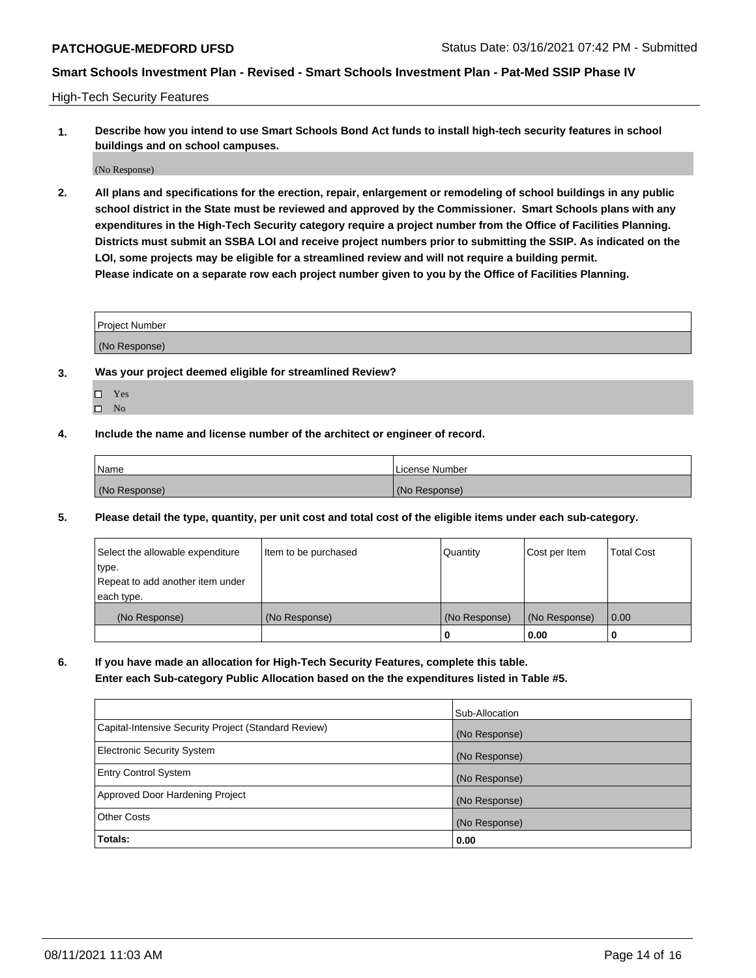High-Tech Security Features

**1. Describe how you intend to use Smart Schools Bond Act funds to install high-tech security features in school buildings and on school campuses.**

(No Response)

**2. All plans and specifications for the erection, repair, enlargement or remodeling of school buildings in any public school district in the State must be reviewed and approved by the Commissioner. Smart Schools plans with any expenditures in the High-Tech Security category require a project number from the Office of Facilities Planning. Districts must submit an SSBA LOI and receive project numbers prior to submitting the SSIP. As indicated on the LOI, some projects may be eligible for a streamlined review and will not require a building permit. Please indicate on a separate row each project number given to you by the Office of Facilities Planning.**

| <b>Project Number</b> |  |
|-----------------------|--|
| (No Response)         |  |

- **3. Was your project deemed eligible for streamlined Review?**
	- Yes
	- $\hfill \Box$  No
- **4. Include the name and license number of the architect or engineer of record.**

| Name          | License Number |
|---------------|----------------|
| (No Response) | (No Response)  |

**5. Please detail the type, quantity, per unit cost and total cost of the eligible items under each sub-category.**

| Select the allowable expenditure | Item to be purchased | Quantity      | Cost per Item | <b>Total Cost</b> |
|----------------------------------|----------------------|---------------|---------------|-------------------|
| type.                            |                      |               |               |                   |
| Repeat to add another item under |                      |               |               |                   |
| each type.                       |                      |               |               |                   |
| (No Response)                    | (No Response)        | (No Response) | (No Response) | $\overline{0.00}$ |
|                                  |                      | U             | 0.00          |                   |

**6. If you have made an allocation for High-Tech Security Features, complete this table.**

**Enter each Sub-category Public Allocation based on the the expenditures listed in Table #5.**

|                                                      | Sub-Allocation |
|------------------------------------------------------|----------------|
| Capital-Intensive Security Project (Standard Review) | (No Response)  |
| <b>Electronic Security System</b>                    | (No Response)  |
| <b>Entry Control System</b>                          | (No Response)  |
| Approved Door Hardening Project                      | (No Response)  |
| <b>Other Costs</b>                                   | (No Response)  |
| Totals:                                              | 0.00           |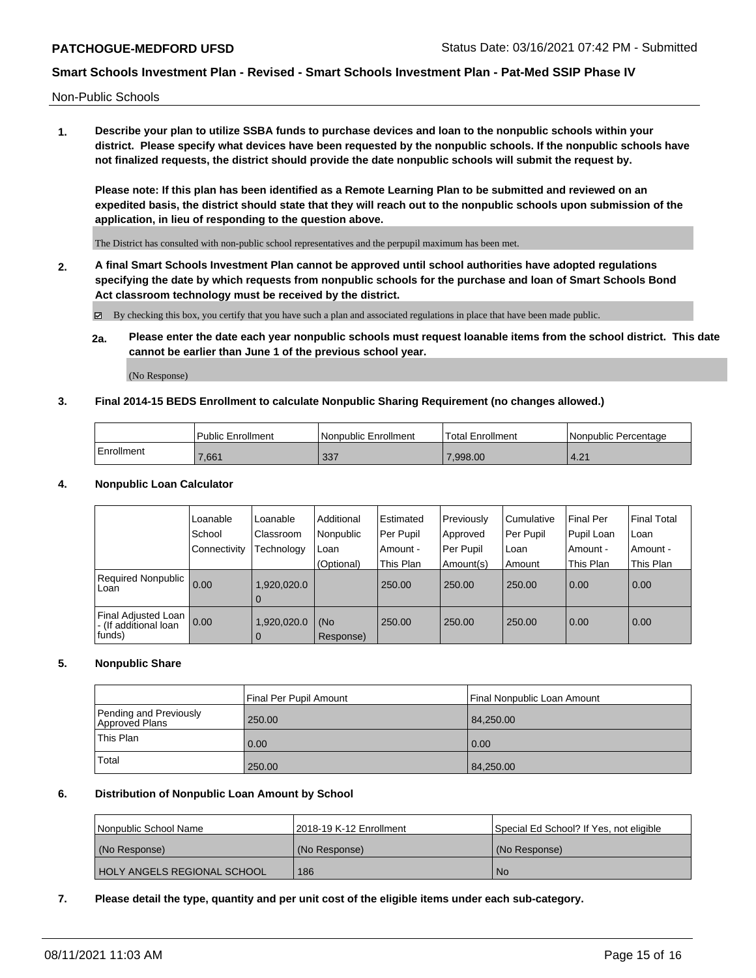Non-Public Schools

**1. Describe your plan to utilize SSBA funds to purchase devices and loan to the nonpublic schools within your district. Please specify what devices have been requested by the nonpublic schools. If the nonpublic schools have not finalized requests, the district should provide the date nonpublic schools will submit the request by.**

**Please note: If this plan has been identified as a Remote Learning Plan to be submitted and reviewed on an expedited basis, the district should state that they will reach out to the nonpublic schools upon submission of the application, in lieu of responding to the question above.**

The District has consulted with non-public school representatives and the perpupil maximum has been met.

**2. A final Smart Schools Investment Plan cannot be approved until school authorities have adopted regulations specifying the date by which requests from nonpublic schools for the purchase and loan of Smart Schools Bond Act classroom technology must be received by the district.**

By checking this box, you certify that you have such a plan and associated regulations in place that have been made public.

**2a. Please enter the date each year nonpublic schools must request loanable items from the school district. This date cannot be earlier than June 1 of the previous school year.**

(No Response)

## **3. Final 2014-15 BEDS Enrollment to calculate Nonpublic Sharing Requirement (no changes allowed.)**

|              | <b>Public Enrollment</b> | <b>Nonpublic Enrollment</b> | Total Enrollment | Nonpublic Percentage |
|--------------|--------------------------|-----------------------------|------------------|----------------------|
| l Enrollment | 7.661                    | 337                         | .998.00          | 121<br>$+2.2$        |

### **4. Nonpublic Loan Calculator**

|                                              | Loanable     | Loanable       | Additional | i Estimated | Previously | l Cumulative | Final Per  | <b>Final Total</b> |
|----------------------------------------------|--------------|----------------|------------|-------------|------------|--------------|------------|--------------------|
|                                              | School       | Classroom      | Nonpublic  | Per Pupil   | Approved   | Per Pupil    | Pupil Loan | Loan               |
|                                              | Connectivity | Technology     | Loan       | Amount -    | Per Pupil  | Loan         | . Amount - | : Amount -         |
|                                              |              |                | (Optional) | This Plan   | Amount(s)  | Amount       | This Plan  | This Plan          |
| Required Nonpublic 0.00<br>Loan              |              | 1,920,020.0    |            | 250.00      | 250.00     | 250.00       | 0.00       | 0.00               |
|                                              |              | 0              |            |             |            |              |            |                    |
| Final Adjusted Loan<br>- (If additional loan | 0.00         | 1,920,020.0    | (No        | 250.00      | 250.00     | 250.00       | 0.00       | 0.00               |
| funds)                                       |              | $\overline{0}$ | Response)  |             |            |              |            |                    |

### **5. Nonpublic Share**

|                                          | Final Per Pupil Amount | <b>Final Nonpublic Loan Amount</b> |
|------------------------------------------|------------------------|------------------------------------|
| Pending and Previously<br>Approved Plans | 250.00                 | 84,250.00                          |
| This Plan                                | 0.00                   | 0.00                               |
| Total                                    | 250.00                 | 84,250.00                          |

# **6. Distribution of Nonpublic Loan Amount by School**

| <b>Nonpublic School Name</b>       | 2018-19 K-12 Enrollment | Special Ed School? If Yes, not eligible |
|------------------------------------|-------------------------|-----------------------------------------|
| (No Response)                      | l (No Response).        | l (No Response)                         |
| <b>HOLY ANGELS REGIONAL SCHOOL</b> | 186                     | <b>No</b>                               |

### **7. Please detail the type, quantity and per unit cost of the eligible items under each sub-category.**